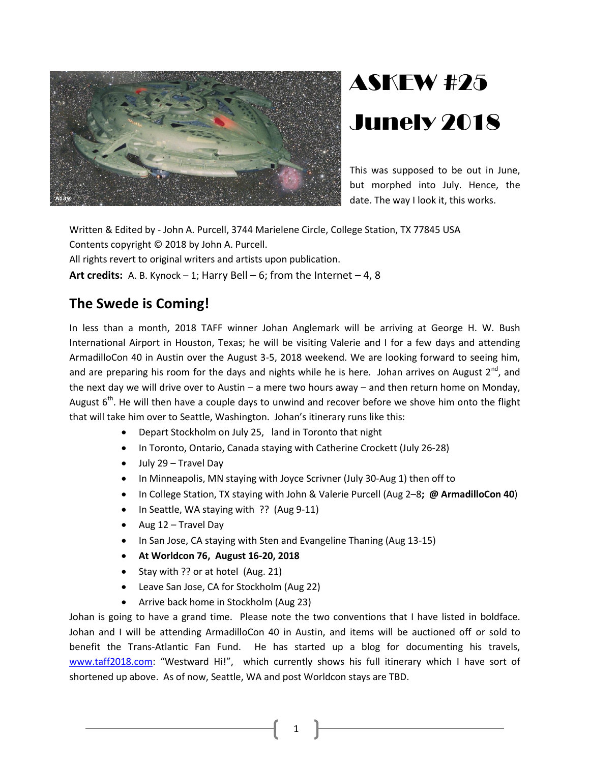

# ASKEW #25 Junely 2018

This was supposed to be out in June, but morphed into July. Hence, the date. The way I look it, this works.

Written & Edited by - John A. Purcell, 3744 Marielene Circle, College Station, TX 77845 USA Contents copyright © 2018 by John A. Purcell. All rights revert to original writers and artists upon publication. **Art credits:** A. B. Kynock – 1; Harry Bell – 6; from the Internet – 4, 8

# **The Swede is Coming!**

In less than a month, 2018 TAFF winner Johan Anglemark will be arriving at George H. W. Bush International Airport in Houston, Texas; he will be visiting Valerie and I for a few days and attending ArmadilloCon 40 in Austin over the August 3-5, 2018 weekend. We are looking forward to seeing him, and are preparing his room for the days and nights while he is here. Johan arrives on August  $2^{nd}$ , and the next day we will drive over to Austin – a mere two hours away – and then return home on Monday, August  $6<sup>th</sup>$ . He will then have a couple days to unwind and recover before we shove him onto the flight that will take him over to Seattle, Washington. Johan's itinerary runs like this:

- Depart Stockholm on July 25, land in Toronto that night
- In Toronto, Ontario, Canada staying with Catherine Crockett (July 26-28)
- July 29 Travel Day
- In Minneapolis, MN staying with Joyce Scrivner (July 30-Aug 1) then off to
- In College Station, TX staying with John & Valerie Purcell (Aug 2–8**; @ ArmadilloCon 40**)
- In Seattle, WA staying with ?? (Aug 9-11)
- $\bullet$  Aug 12 Travel Day
- In San Jose, CA staying with Sten and Evangeline Thaning (Aug 13-15)
- **At Worldcon 76, August 16-20, 2018**
- Stay with ?? or at hotel (Aug. 21)
- Leave San Jose, CA for Stockholm (Aug 22)
- Arrive back home in Stockholm (Aug 23)

Johan is going to have a grand time. Please note the two conventions that I have listed in boldface. Johan and I will be attending ArmadilloCon 40 in Austin, and items will be auctioned off or sold to benefit the Trans-Atlantic Fan Fund. He has started up a blog for documenting his travels, [www.taff2018.com](http://www.taff2018.com/): "Westward Hi!", which currently shows his full itinerary which I have sort of shortened up above. As of now, Seattle, WA and post Worldcon stays are TBD.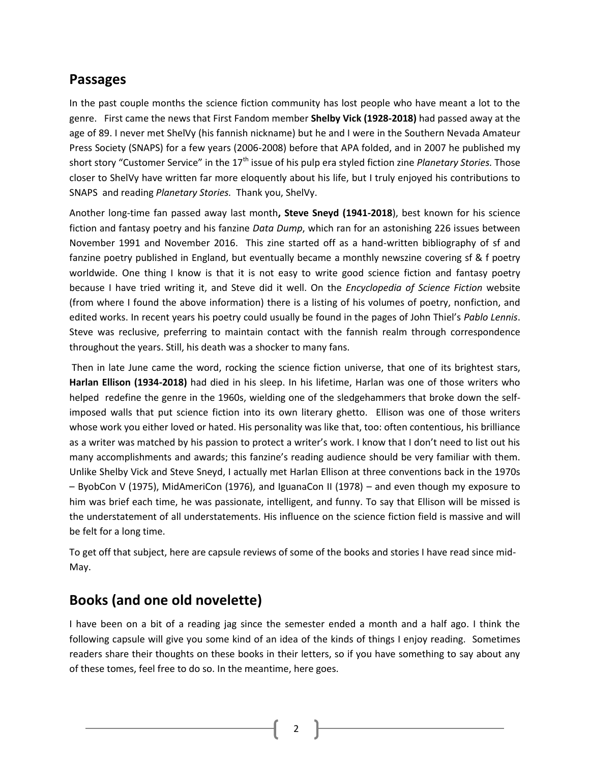## **Passages**

In the past couple months the science fiction community has lost people who have meant a lot to the genre. First came the news that First Fandom member **Shelby Vick (1928-2018)** had passed away at the age of 89. I never met ShelVy (his fannish nickname) but he and I were in the Southern Nevada Amateur Press Society (SNAPS) for a few years (2006-2008) before that APA folded, and in 2007 he published my short story "Customer Service" in the 17<sup>th</sup> issue of his pulp era styled fiction zine *Planetary Stories*. Those closer to ShelVy have written far more eloquently about his life, but I truly enjoyed his contributions to SNAPS and reading *Planetary Stories.* Thank you, ShelVy.

Another long-time fan passed away last month**, Steve Sneyd (1941-2018**), best known for his science fiction and fantasy poetry and his fanzine *Data Dump*, which ran for an astonishing 226 issues between November 1991 and November 2016. This zine started off as a hand-written bibliography of sf and fanzine poetry published in England, but eventually became a monthly newszine covering sf & f poetry worldwide. One thing I know is that it is not easy to write good science fiction and fantasy poetry because I have tried writing it, and Steve did it well. On the *Encyclopedia of Science Fiction* website (from where I found the above information) there is a listing of his volumes of poetry, nonfiction, and edited works. In recent years his poetry could usually be found in the pages of John Thiel's *Pablo Lennis*. Steve was reclusive, preferring to maintain contact with the fannish realm through correspondence throughout the years. Still, his death was a shocker to many fans.

Then in late June came the word, rocking the science fiction universe, that one of its brightest stars, **Harlan Ellison (1934-2018)** had died in his sleep. In his lifetime, Harlan was one of those writers who helped redefine the genre in the 1960s, wielding one of the sledgehammers that broke down the selfimposed walls that put science fiction into its own literary ghetto. Ellison was one of those writers whose work you either loved or hated. His personality was like that, too: often contentious, his brilliance as a writer was matched by his passion to protect a writer's work. I know that I don't need to list out his many accomplishments and awards; this fanzine's reading audience should be very familiar with them. Unlike Shelby Vick and Steve Sneyd, I actually met Harlan Ellison at three conventions back in the 1970s – ByobCon V (1975), MidAmeriCon (1976), and IguanaCon II (1978) – and even though my exposure to him was brief each time, he was passionate, intelligent, and funny. To say that Ellison will be missed is the understatement of all understatements. His influence on the science fiction field is massive and will be felt for a long time.

To get off that subject, here are capsule reviews of some of the books and stories I have read since mid-May.

# **Books (and one old novelette)**

I have been on a bit of a reading jag since the semester ended a month and a half ago. I think the following capsule will give you some kind of an idea of the kinds of things I enjoy reading. Sometimes readers share their thoughts on these books in their letters, so if you have something to say about any of these tomes, feel free to do so. In the meantime, here goes.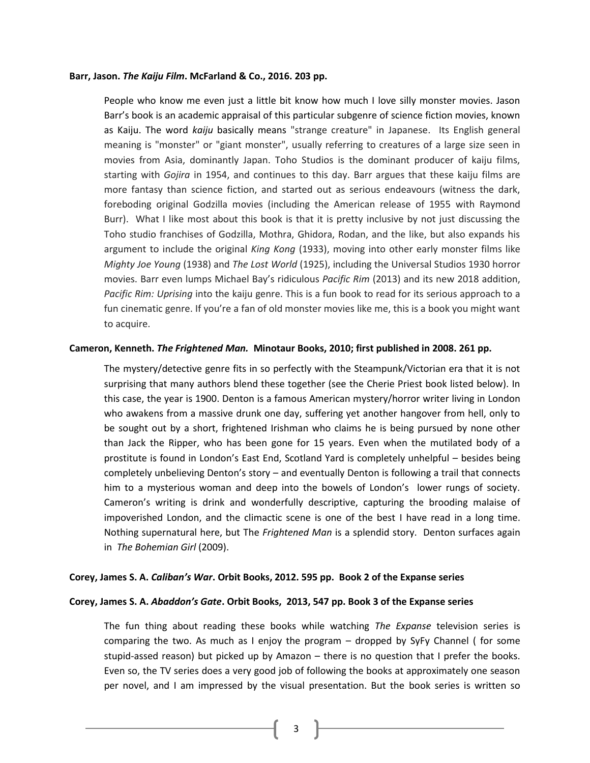#### **Barr, Jason.** *The Kaiju Film***. McFarland & Co., 2016. 203 pp.**

People who know me even just a little bit know how much I love silly monster movies. Jason Barr's book is an academic appraisal of this particular subgenre of science fiction movies, known as Kaiju. The word *kaiju* basically means "strange creature" in Japanese. Its English general meaning is "monster" or "giant monster", usually referring to creatures of a large size seen in movies from Asia, dominantly Japan. Toho Studios is the dominant producer of kaiju films, starting with *Gojira* in 1954, and continues to this day. Barr argues that these kaiju films are more fantasy than science fiction, and started out as serious endeavours (witness the dark, foreboding original Godzilla movies (including the American release of 1955 with Raymond Burr). What I like most about this book is that it is pretty inclusive by not just discussing the Toho studio franchises of Godzilla, Mothra, Ghidora, Rodan, and the like, but also expands his argument to include the original *King Kong* (1933), moving into other early monster films like *Mighty Joe Young* (1938) and *The Lost World* (1925), including the Universal Studios 1930 horror movies. Barr even lumps Michael Bay's ridiculous *Pacific Rim* (2013) and its new 2018 addition, *Pacific Rim: Uprising* into the kaiju genre. This is a fun book to read for its serious approach to a fun cinematic genre. If you're a fan of old monster movies like me, this is a book you might want to acquire.

#### **Cameron, Kenneth.** *The Frightened Man.* **Minotaur Books, 2010; first published in 2008. 261 pp.**

The mystery/detective genre fits in so perfectly with the Steampunk/Victorian era that it is not surprising that many authors blend these together (see the Cherie Priest book listed below). In this case, the year is 1900. Denton is a famous American mystery/horror writer living in London who awakens from a massive drunk one day, suffering yet another hangover from hell, only to be sought out by a short, frightened Irishman who claims he is being pursued by none other than Jack the Ripper, who has been gone for 15 years. Even when the mutilated body of a prostitute is found in London's East End, Scotland Yard is completely unhelpful – besides being completely unbelieving Denton's story – and eventually Denton is following a trail that connects him to a mysterious woman and deep into the bowels of London's lower rungs of society. Cameron's writing is drink and wonderfully descriptive, capturing the brooding malaise of impoverished London, and the climactic scene is one of the best I have read in a long time. Nothing supernatural here, but The *Frightened Man* is a splendid story. Denton surfaces again in *The Bohemian Girl* (2009).

#### **Corey, James S. A.** *Caliban's War***. Orbit Books, 2012. 595 pp. Book 2 of the Expanse series**

#### **Corey, James S. A.** *Abaddon's Gate***. Orbit Books, 2013, 547 pp. Book 3 of the Expanse series**

The fun thing about reading these books while watching *The Expanse* television series is comparing the two. As much as I enjoy the program – dropped by SyFy Channel ( for some stupid-assed reason) but picked up by Amazon – there is no question that I prefer the books. Even so, the TV series does a very good job of following the books at approximately one season per novel, and I am impressed by the visual presentation. But the book series is written so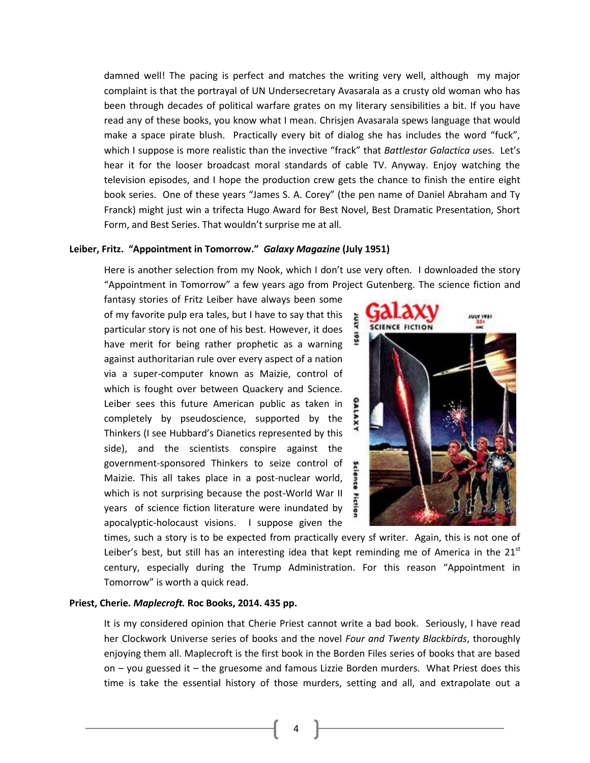damned well! The pacing is perfect and matches the writing very well, although my major complaint is that the portrayal of UN Undersecretary Avasarala as a crusty old woman who has been through decades of political warfare grates on my literary sensibilities a bit. If you have read any of these books, you know what I mean. Chrisjen Avasarala spews language that would make a space pirate blush. Practically every bit of dialog she has includes the word "fuck", which I suppose is more realistic than the invective "frack" that *Battlestar Galactica u*ses. Let's hear it for the looser broadcast moral standards of cable TV. Anyway. Enjoy watching the television episodes, and I hope the production crew gets the chance to finish the entire eight book series. One of these years "James S. A. Corey" (the pen name of Daniel Abraham and Ty Franck) might just win a trifecta Hugo Award for Best Novel, Best Dramatic Presentation, Short Form, and Best Series. That wouldn't surprise me at all.

#### **Leiber, Fritz. "Appointment in Tomorrow."** *Galaxy Magazine* **(July 1951)**

Here is another selection from my Nook, which I don't use very often. I downloaded the story "Appointment in Tomorrow" a few years ago from Project Gutenberg. The science fiction and

fantasy stories of Fritz Leiber have always been some of my favorite pulp era tales, but I have to say that this particular story is not one of his best. However, it does have merit for being rather prophetic as a warning against authoritarian rule over every aspect of a nation via a super-computer known as Maizie, control of which is fought over between Quackery and Science. Leiber sees this future American public as taken in completely by pseudoscience, supported by the Thinkers (I see Hubbard's Dianetics represented by this side), and the scientists conspire against the government-sponsored Thinkers to seize control of Maizie. This all takes place in a post-nuclear world, which is not surprising because the post-World War II years of science fiction literature were inundated by apocalyptic-holocaust visions. I suppose given the



times, such a story is to be expected from practically every sf writer. Again, this is not one of Leiber's best, but still has an interesting idea that kept reminding me of America in the  $21<sup>st</sup>$ century, especially during the Trump Administration. For this reason "Appointment in Tomorrow" is worth a quick read.

#### **Priest, Cherie.** *Maplecroft.* **Roc Books, 2014. 435 pp.**

It is my considered opinion that Cherie Priest cannot write a bad book. Seriously, I have read her Clockwork Universe series of books and the novel *Four and Twenty Blackbirds*, thoroughly enjoying them all. Maplecroft is the first book in the Borden Files series of books that are based on – you guessed it – the gruesome and famous Lizzie Borden murders. What Priest does this time is take the essential history of those murders, setting and all, and extrapolate out a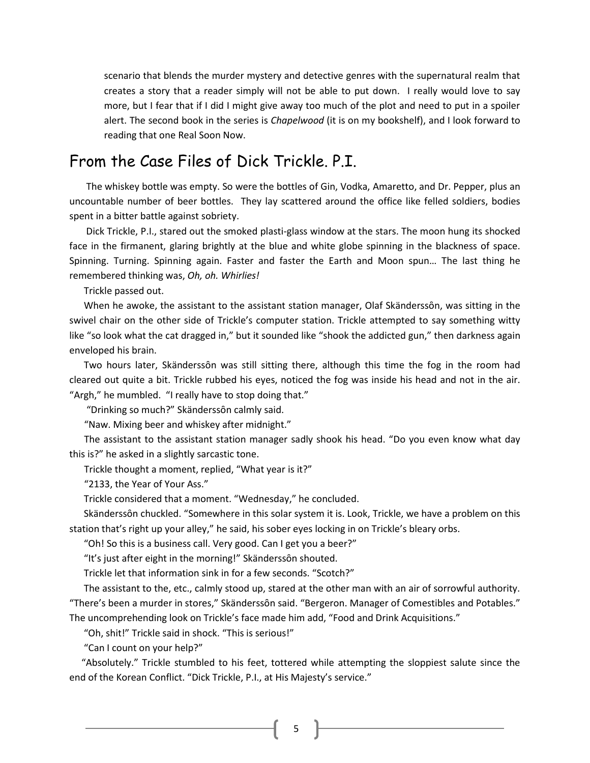scenario that blends the murder mystery and detective genres with the supernatural realm that creates a story that a reader simply will not be able to put down. I really would love to say more, but I fear that if I did I might give away too much of the plot and need to put in a spoiler alert. The second book in the series is *Chapelwood* (it is on my bookshelf), and I look forward to reading that one Real Soon Now.

# From the Case Files of Dick Trickle. P.I.

 The whiskey bottle was empty. So were the bottles of Gin, Vodka, Amaretto, and Dr. Pepper, plus an uncountable number of beer bottles. They lay scattered around the office like felled soldiers, bodies spent in a bitter battle against sobriety.

 Dick Trickle, P.I., stared out the smoked plasti-glass window at the stars. The moon hung its shocked face in the firmanent, glaring brightly at the blue and white globe spinning in the blackness of space. Spinning. Turning. Spinning again. Faster and faster the Earth and Moon spun… The last thing he remembered thinking was, *Oh, oh. Whirlies!* 

Trickle passed out.

When he awoke, the assistant to the assistant station manager, Olaf Skänderssôn, was sitting in the swivel chair on the other side of Trickle's computer station. Trickle attempted to say something witty like "so look what the cat dragged in," but it sounded like "shook the addicted gun," then darkness again enveloped his brain.

Two hours later, Skänderssôn was still sitting there, although this time the fog in the room had cleared out quite a bit. Trickle rubbed his eyes, noticed the fog was inside his head and not in the air. "Argh," he mumbled. "I really have to stop doing that."

"Drinking so much?" Skänderssôn calmly said.

"Naw. Mixing beer and whiskey after midnight."

The assistant to the assistant station manager sadly shook his head. "Do you even know what day this is?" he asked in a slightly sarcastic tone.

Trickle thought a moment, replied, "What year is it?"

"2133, the Year of Your Ass."

Trickle considered that a moment. "Wednesday," he concluded.

Skänderssôn chuckled. "Somewhere in this solar system it is. Look, Trickle, we have a problem on this station that's right up your alley," he said, his sober eyes locking in on Trickle's bleary orbs.

"Oh! So this is a business call. Very good. Can I get you a beer?"

"It's just after eight in the morning!" Skänderssôn shouted.

Trickle let that information sink in for a few seconds. "Scotch?"

 The assistant to the, etc., calmly stood up, stared at the other man with an air of sorrowful authority. "There's been a murder in stores," Skänderssôn said. "Bergeron. Manager of Comestibles and Potables." The uncomprehending look on Trickle's face made him add, "Food and Drink Acquisitions."

"Oh, shit!" Trickle said in shock. "This is serious!"

"Can I count on your help?"

 "Absolutely." Trickle stumbled to his feet, tottered while attempting the sloppiest salute since the end of the Korean Conflict. "Dick Trickle, P.I., at His Majesty's service."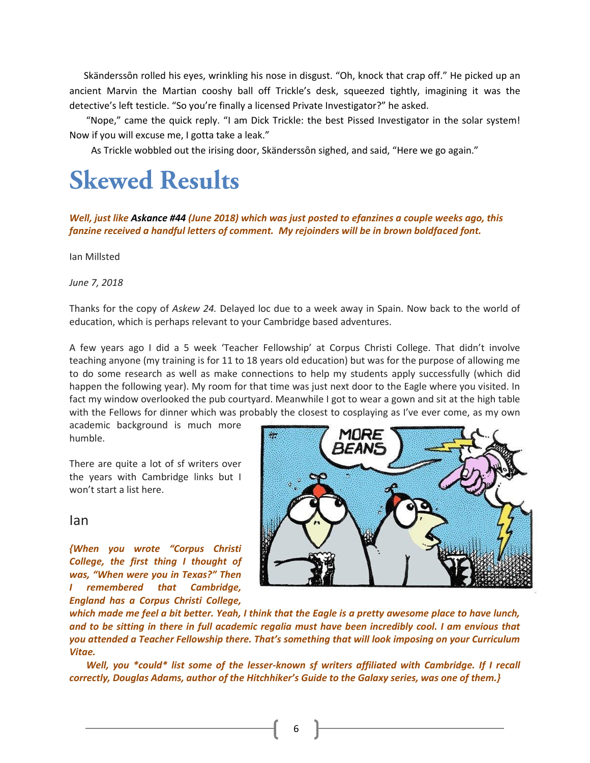Skänderssôn rolled his eyes, wrinkling his nose in disgust. "Oh, knock that crap off." He picked up an ancient Marvin the Martian cooshy ball off Trickle's desk, squeezed tightly, imagining it was the detective's left testicle. "So you're finally a licensed Private Investigator?" he asked.

 "Nope," came the quick reply. "I am Dick Trickle: the best Pissed Investigator in the solar system! Now if you will excuse me, I gotta take a leak."

As Trickle wobbled out the irising door, Skänderssôn sighed, and said, "Here we go again."

# **Skewed Results**

#### *Well, just like Askance #44 (June 2018) which was just posted to efanzines a couple weeks ago, this fanzine received a handful letters of comment. My rejoinders will be in brown boldfaced font.*

Ian Millsted

*June 7, 2018*

Thanks for the copy of *Askew 24.* Delayed loc due to a week away in Spain. Now back to the world of education, which is perhaps relevant to your Cambridge based adventures.

A few years ago I did a 5 week 'Teacher Fellowship' at Corpus Christi College. That didn't involve teaching anyone (my training is for 11 to 18 years old education) but was for the purpose of allowing me to do some research as well as make connections to help my students apply successfully (which did happen the following year). My room for that time was just next door to the Eagle where you visited. In fact my window overlooked the pub courtyard. Meanwhile I got to wear a gown and sit at the high table with the Fellows for dinner which was probably the closest to cosplaying as I've ever come, as my own

academic background is much more humble.

There are quite a lot of sf writers over the years with Cambridge links but I won't start a list here.

# 3EAN."

*which made me feel a bit better. Yeah, I think that the Eagle is a pretty awesome place to have lunch, and to be sitting in there in full academic regalia must have been incredibly cool. I am envious that you attended a Teacher Fellowship there. That's something that will look imposing on your Curriculum Vitae.* 

 *Well, you \*could\* list some of the lesser-known sf writers affiliated with Cambridge. If I recall correctly, Douglas Adams, author of the Hitchhiker's Guide to the Galaxy series, was one of them.}*

#### Ian

*{When you wrote "Corpus Christi College, the first thing I thought of was, "When were you in Texas?" Then I remembered that Cambridge, England has a Corpus Christi College,*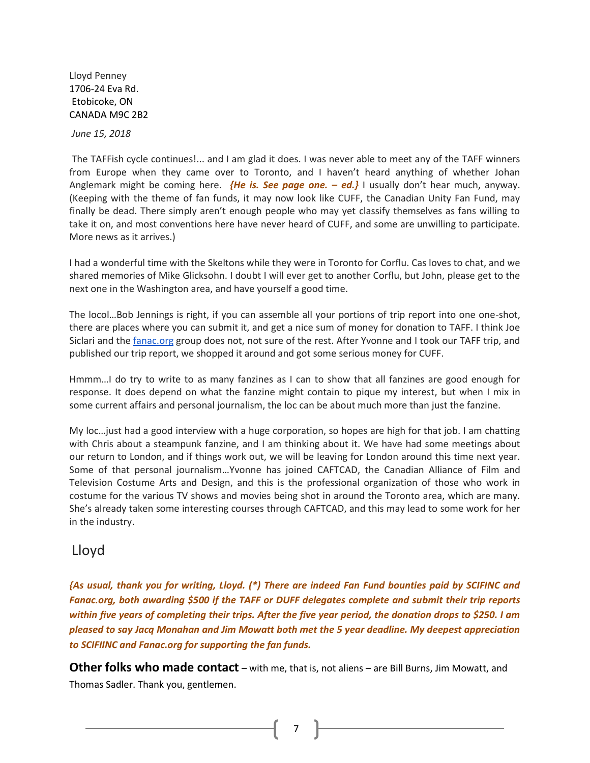Lloyd Penney 1706-24 [Eva Rd.](https://maps.google.com/?q=24+Eva+Rd.+Etobicoke,+ON+CANADA+M9C+2B2&entry=gmail&source=g) [Etobicoke, ON](https://maps.google.com/?q=24+Eva+Rd.+Etobicoke,+ON+CANADA+M9C+2B2&entry=gmail&source=g) [CANADA M9C 2B2](https://maps.google.com/?q=24+Eva+Rd.+Etobicoke,+ON+CANADA+M9C+2B2&entry=gmail&source=g)

*June 15, 2018*

The TAFFish cycle continues!... and I am glad it does. I was never able to meet any of the TAFF winners from Europe when they came over to Toronto, and I haven't heard anything of whether Johan Anglemark might be coming here. *{He is. See page one. – ed.}* I usually don't hear much, anyway. (Keeping with the theme of fan funds, it may now look like CUFF, the Canadian Unity Fan Fund, may finally be dead. There simply aren't enough people who may yet classify themselves as fans willing to take it on, and most conventions here have never heard of CUFF, and some are unwilling to participate. More news as it arrives.)

I had a wonderful time with the Skeltons while they were in Toronto for Corflu. Cas loves to chat, and we shared memories of Mike Glicksohn. I doubt I will ever get to another Corflu, but John, please get to the next one in the Washington area, and have yourself a good time.

The locol…Bob Jennings is right, if you can assemble all your portions of trip report into one one-shot, there are places where you can submit it, and get a nice sum of money for donation to TAFF. I think Joe Siclari and the [fanac.org](http://fanac.org/) group does not, not sure of the rest. After Yvonne and I took our TAFF trip, and published our trip report, we shopped it around and got some serious money for CUFF.

Hmmm…I do try to write to as many fanzines as I can to show that all fanzines are good enough for response. It does depend on what the fanzine might contain to pique my interest, but when I mix in some current affairs and personal journalism, the loc can be about much more than just the fanzine.

My loc…just had a good interview with a huge corporation, so hopes are high for that job. I am chatting with Chris about a steampunk fanzine, and I am thinking about it. We have had some meetings about our return to London, and if things work out, we will be leaving for London around this time next year. Some of that personal journalism…Yvonne has joined CAFTCAD, the Canadian Alliance of Film and Television Costume Arts and Design, and this is the professional organization of those who work in costume for the various TV shows and movies being shot in around the Toronto area, which are many. She's already taken some interesting courses through CAFTCAD, and this may lead to some work for her in the industry.

## Lloyd

*{As usual, thank you for writing, Lloyd. (\*) There are indeed Fan Fund bounties paid by SCIFINC and Fanac.org, both awarding \$500 if the TAFF or DUFF delegates complete and submit their trip reports within five years of completing their trips. After the five year period, the donation drops to \$250. I am pleased to say Jacq Monahan and Jim Mowatt both met the 5 year deadline. My deepest appreciation to SCIFIINC and Fanac.org for supporting the fan funds.* 

**Other folks who made contact** – with me, that is, not aliens – are Bill Burns, Jim Mowatt, and Thomas Sadler. Thank you, gentlemen.